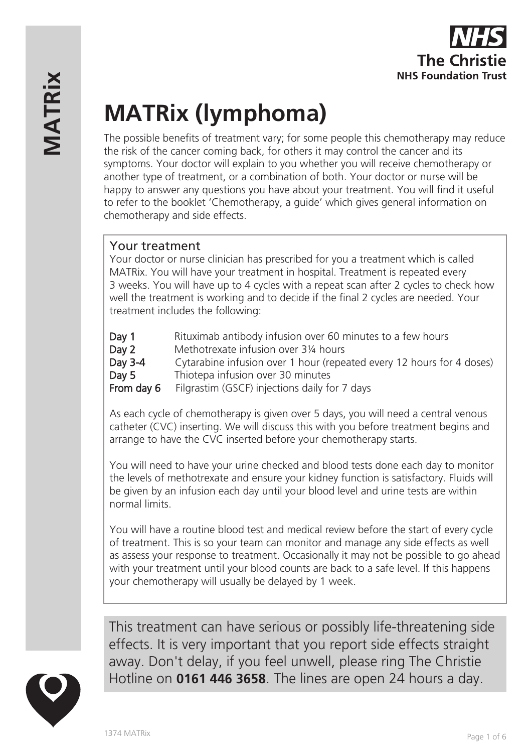# **MATRix (lymphoma)**

The possible benefits of treatment vary; for some people this chemotherapy may reduce the risk of the cancer coming back, for others it may control the cancer and its symptoms. Your doctor will explain to you whether you will receive chemotherapy or another type of treatment, or a combination of both. Your doctor or nurse will be happy to answer any questions you have about your treatment. You will find it useful to refer to the booklet 'Chemotherapy, a guide' which gives general information on chemotherapy and side effects.

## Your treatment

Your doctor or nurse clinician has prescribed for you a treatment which is called MATRix. You will have your treatment in hospital. Treatment is repeated every 3 weeks. You will have up to 4 cycles with a repeat scan after 2 cycles to check how well the treatment is working and to decide if the final 2 cycles are needed. Your treatment includes the following:

- Day 1 Rituximab antibody infusion over 60 minutes to a few hours
- Day 2 Methotrexate infusion over 31/4 hours
- Day 3-4 Cytarabine infusion over 1 hour (repeated every 12 hours for 4 doses) Day 5 Thiotepa infusion over 30 minutes
- From day 6 Filgrastim (GSCF) injections daily for 7 days

As each cycle of chemotherapy is given over 5 days, you will need a central venous catheter (CVC) inserting. We will discuss this with you before treatment begins and arrange to have the CVC inserted before your chemotherapy starts.

You will need to have your urine checked and blood tests done each day to monitor the levels of methotrexate and ensure your kidney function is satisfactory. Fluids will be given by an infusion each day until your blood level and urine tests are within normal limits.

You will have a routine blood test and medical review before the start of every cycle of treatment. This is so your team can monitor and manage any side effects as well as assess your response to treatment. Occasionally it may not be possible to go ahead with your treatment until your blood counts are back to a safe level. If this happens your chemotherapy will usually be delayed by 1 week.



This treatment can have serious or possibly life-threatening side effects. It is very important that you report side effects straight away. Don't delay, if you feel unwell, please ring The Christie Hotline on **0161 446 3658**. The lines are open 24 hours a day.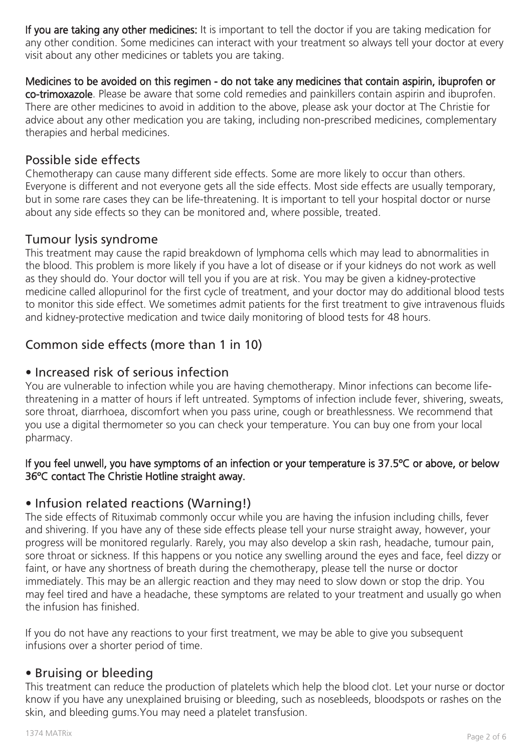If you are taking any other medicines: It is important to tell the doctor if you are taking medication for any other condition. Some medicines can interact with your treatment so always tell your doctor at every visit about any other medicines or tablets you are taking.

Medicines to be avoided on this regimen - do not take any medicines that contain aspirin, ibuprofen or co-trimoxazole. Please be aware that some cold remedies and painkillers contain aspirin and ibuprofen. There are other medicines to avoid in addition to the above, please ask your doctor at The Christie for advice about any other medication you are taking, including non-prescribed medicines, complementary therapies and herbal medicines.

## Possible side effects

Chemotherapy can cause many different side effects. Some are more likely to occur than others. Everyone is different and not everyone gets all the side effects. Most side effects are usually temporary, but in some rare cases they can be life-threatening. It is important to tell your hospital doctor or nurse about any side effects so they can be monitored and, where possible, treated.

## Tumour lysis syndrome

This treatment may cause the rapid breakdown of lymphoma cells which may lead to abnormalities in the blood. This problem is more likely if you have a lot of disease or if your kidneys do not work as well as they should do. Your doctor will tell you if you are at risk. You may be given a kidney-protective medicine called allopurinol for the first cycle of treatment, and your doctor may do additional blood tests to monitor this side effect. We sometimes admit patients for the first treatment to give intravenous fluids and kidney-protective medication and twice daily monitoring of blood tests for 48 hours.

# Common side effects (more than 1 in 10)

## • Increased risk of serious infection

You are vulnerable to infection while you are having chemotherapy. Minor infections can become lifethreatening in a matter of hours if left untreated. Symptoms of infection include fever, shivering, sweats, sore throat, diarrhoea, discomfort when you pass urine, cough or breathlessness. We recommend that you use a digital thermometer so you can check your temperature. You can buy one from your local pharmacy.

#### If you feel unwell, you have symptoms of an infection or your temperature is 37.5ºC or above, or below 36ºC contact The Christie Hotline straight away.

## • Infusion related reactions (Warning!)

The side effects of Rituximab commonly occur while you are having the infusion including chills, fever and shivering. If you have any of these side effects please tell your nurse straight away, however, your progress will be monitored regularly. Rarely, you may also develop a skin rash, headache, tumour pain, sore throat or sickness. If this happens or you notice any swelling around the eyes and face, feel dizzy or faint, or have any shortness of breath during the chemotherapy, please tell the nurse or doctor immediately. This may be an allergic reaction and they may need to slow down or stop the drip. You may feel tired and have a headache, these symptoms are related to your treatment and usually go when the infusion has finished.

If you do not have any reactions to your first treatment, we may be able to give you subsequent infusions over a shorter period of time.

## • Bruising or bleeding

This treatment can reduce the production of platelets which help the blood clot. Let your nurse or doctor know if you have any unexplained bruising or bleeding, such as nosebleeds, bloodspots or rashes on the skin, and bleeding gums.You may need a platelet transfusion.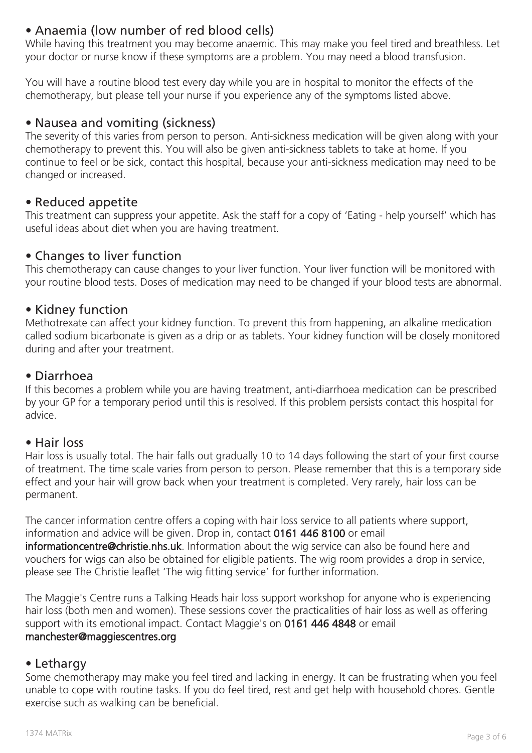# • Anaemia (low number of red blood cells)

While having this treatment you may become anaemic. This may make you feel tired and breathless. Let your doctor or nurse know if these symptoms are a problem. You may need a blood transfusion.

You will have a routine blood test every day while you are in hospital to monitor the effects of the chemotherapy, but please tell your nurse if you experience any of the symptoms listed above.

#### • Nausea and vomiting (sickness)

The severity of this varies from person to person. Anti-sickness medication will be given along with your chemotherapy to prevent this. You will also be given anti-sickness tablets to take at home. If you continue to feel or be sick, contact this hospital, because your anti-sickness medication may need to be changed or increased.

#### • Reduced appetite

This treatment can suppress your appetite. Ask the staff for a copy of 'Eating - help yourself' which has useful ideas about diet when you are having treatment.

## • Changes to liver function

This chemotherapy can cause changes to your liver function. Your liver function will be monitored with your routine blood tests. Doses of medication may need to be changed if your blood tests are abnormal.

## • Kidney function

Methotrexate can affect your kidney function. To prevent this from happening, an alkaline medication called sodium bicarbonate is given as a drip or as tablets. Your kidney function will be closely monitored during and after your treatment.

#### • Diarrhoea

If this becomes a problem while you are having treatment, anti-diarrhoea medication can be prescribed by your GP for a temporary period until this is resolved. If this problem persists contact this hospital for advice.

#### • Hair loss

Hair loss is usually total. The hair falls out gradually 10 to 14 days following the start of your first course of treatment. The time scale varies from person to person. Please remember that this is a temporary side effect and your hair will grow back when your treatment is completed. Very rarely, hair loss can be permanent.

The cancer information centre offers a coping with hair loss service to all patients where support, information and advice will be given. Drop in, contact 0161 446 8100 or email informationcentre@christie.nhs.uk. Information about the wig service can also be found here and vouchers for wigs can also be obtained for eligible patients. The wig room provides a drop in service, please see The Christie leaflet 'The wig fitting service' for further information.

The Maggie's Centre runs a Talking Heads hair loss support workshop for anyone who is experiencing hair loss (both men and women). These sessions cover the practicalities of hair loss as well as offering support with its emotional impact. Contact Maggie's on 0161 446 4848 or email manchester@maggiescentres.org

#### • Lethargy

Some chemotherapy may make you feel tired and lacking in energy. It can be frustrating when you feel unable to cope with routine tasks. If you do feel tired, rest and get help with household chores. Gentle exercise such as walking can be beneficial.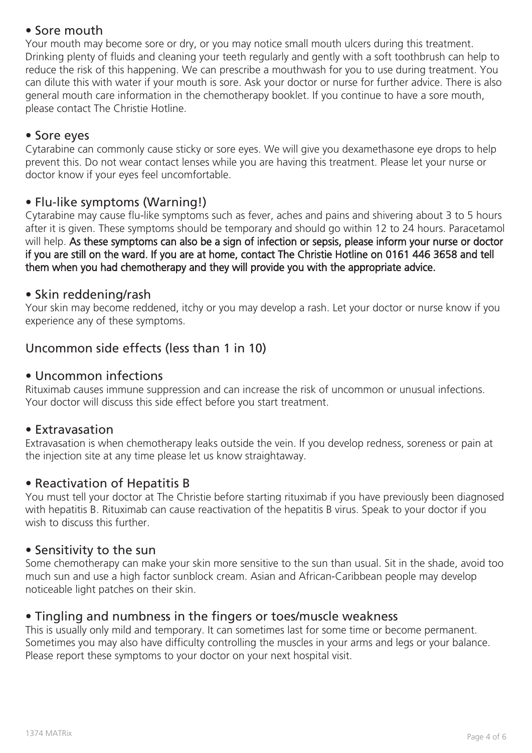# • Sore mouth

Your mouth may become sore or dry, or you may notice small mouth ulcers during this treatment. Drinking plenty of fluids and cleaning your teeth regularly and gently with a soft toothbrush can help to reduce the risk of this happening. We can prescribe a mouthwash for you to use during treatment. You can dilute this with water if your mouth is sore. Ask your doctor or nurse for further advice. There is also general mouth care information in the chemotherapy booklet. If you continue to have a sore mouth, please contact The Christie Hotline.

## • Sore eyes

Cytarabine can commonly cause sticky or sore eyes. We will give you dexamethasone eye drops to help prevent this. Do not wear contact lenses while you are having this treatment. Please let your nurse or doctor know if your eyes feel uncomfortable.

## • Flu-like symptoms (Warning!)

Cytarabine may cause flu-like symptoms such as fever, aches and pains and shivering about 3 to 5 hours after it is given. These symptoms should be temporary and should go within 12 to 24 hours. Paracetamol will help. As these symptoms can also be a sign of infection or sepsis, please inform your nurse or doctor if you are still on the ward. If you are at home, contact The Christie Hotline on 0161 446 3658 and tell them when you had chemotherapy and they will provide you with the appropriate advice.

## • Skin reddening/rash

Your skin may become reddened, itchy or you may develop a rash. Let your doctor or nurse know if you experience any of these symptoms.

# Uncommon side effects (less than 1 in 10)

#### • Uncommon infections

Rituximab causes immune suppression and can increase the risk of uncommon or unusual infections. Your doctor will discuss this side effect before you start treatment.

#### • Extravasation

Extravasation is when chemotherapy leaks outside the vein. If you develop redness, soreness or pain at the injection site at any time please let us know straightaway.

## • Reactivation of Hepatitis B

You must tell your doctor at The Christie before starting rituximab if you have previously been diagnosed with hepatitis B. Rituximab can cause reactivation of the hepatitis B virus. Speak to your doctor if you wish to discuss this further.

#### • Sensitivity to the sun

Some chemotherapy can make your skin more sensitive to the sun than usual. Sit in the shade, avoid too much sun and use a high factor sunblock cream. Asian and African-Caribbean people may develop noticeable light patches on their skin.

## • Tingling and numbness in the fingers or toes/muscle weakness

This is usually only mild and temporary. It can sometimes last for some time or become permanent. Sometimes you may also have difficulty controlling the muscles in your arms and legs or your balance. Please report these symptoms to your doctor on your next hospital visit.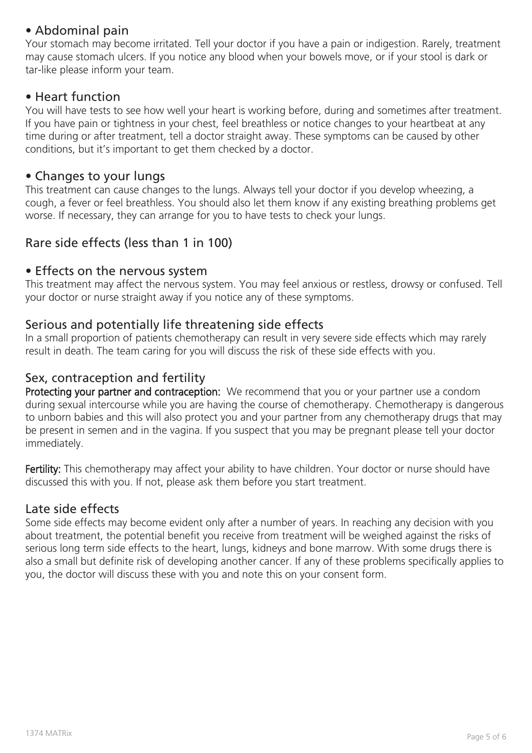# • Abdominal pain

Your stomach may become irritated. Tell your doctor if you have a pain or indigestion. Rarely, treatment may cause stomach ulcers. If you notice any blood when your bowels move, or if your stool is dark or tar-like please inform your team.

#### • Heart function

You will have tests to see how well your heart is working before, during and sometimes after treatment. If you have pain or tightness in your chest, feel breathless or notice changes to your heartbeat at any time during or after treatment, tell a doctor straight away. These symptoms can be caused by other conditions, but it's important to get them checked by a doctor.

#### • Changes to your lungs

This treatment can cause changes to the lungs. Always tell your doctor if you develop wheezing, a cough, a fever or feel breathless. You should also let them know if any existing breathing problems get worse. If necessary, they can arrange for you to have tests to check your lungs.

## Rare side effects (less than 1 in 100)

#### • Effects on the nervous system

This treatment may affect the nervous system. You may feel anxious or restless, drowsy or confused. Tell your doctor or nurse straight away if you notice any of these symptoms.

## Serious and potentially life threatening side effects

In a small proportion of patients chemotherapy can result in very severe side effects which may rarely result in death. The team caring for you will discuss the risk of these side effects with you.

## Sex, contraception and fertility

Protecting your partner and contraception: We recommend that you or your partner use a condom during sexual intercourse while you are having the course of chemotherapy. Chemotherapy is dangerous to unborn babies and this will also protect you and your partner from any chemotherapy drugs that may be present in semen and in the vagina. If you suspect that you may be pregnant please tell your doctor immediately.

Fertility: This chemotherapy may affect your ability to have children. Your doctor or nurse should have discussed this with you. If not, please ask them before you start treatment.

## Late side effects

Some side effects may become evident only after a number of years. In reaching any decision with you about treatment, the potential benefit you receive from treatment will be weighed against the risks of serious long term side effects to the heart, lungs, kidneys and bone marrow. With some drugs there is also a small but definite risk of developing another cancer. If any of these problems specifically applies to you, the doctor will discuss these with you and note this on your consent form.